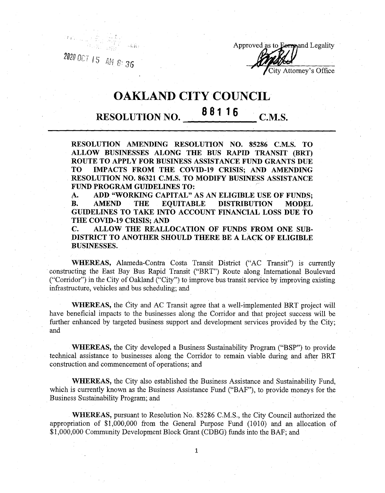a»ocr,5 Arl . **\*r** *36*



## OAKLAND CITY COUNCIL

## **88116** C.M.S.

**RESOLUTION AMENDING RESOLUTION NO. 85286 C.M.S. TO ALLOW BUSINESSES ALONG THE BUS RAPID TRANSIT (BRT) ROUTE TO APPLY FOR BUSINESS ASSISTANCE FUND GRANTS DUE TO IMPACTS FROM THE COVID-19 CRISIS; AND AMENDING RESOLUTION NO. 86321 C.M.S. TO MODIFY BUSINESS ASSISTANCE FUND PROGRAM GUIDELINES TO:**

**A. ADD "WORKING CAPITAL" AS AN ELIGIBLE USE OF FUNDS; BISTRIBUTION GUIDELINES TO TAKE INTO ACCOUNT FINANCIAL LOSS DUE TO THE COVID-19 CRISIS; AND**

**C. ALLOW THE REALLOCATION OF FUNDS FROM ONE SUB-DISTRICT TO ANOTHER SHOULD THERE BE A LACK OF ELIGIBLE BUSINESSES.**

**WHEREAS,** Alameda-Contra Costa Transit District ("AC Transit") is currently constructing the East Bay Bus Rapid Transit ("BRT") Route along International Boulevard ("Corridor") in the City of Oakland ("City") to improve bus transit service by improving existing infrastructure, vehicles and bus scheduling; and

**WHEREAS,** the City and AC Transit agree that a well-implemented BRT project will have beneficial impacts to the businesses along the Corridor and that project success will be further enhanced by targeted business support and development services provided by the City; and

**WHEREAS,** the City developed a Business Sustainability Program ("BSP") to provide technical assistance to businesses along the Corridor to remain viable during and after BRT construction and commencement of operations; and

**WHEREAS,** the City also established the Business Assistance and Sustainability Fund, which is currently known as the Business Assistance Fund ("BAF"), to provide moneys for the Business Sustainability Program; and

**WHEREAS,** pursuant to Resolution No. 85286 C.M.S., the City Council authorized the appropriation of \$1,000,000 from the General Purpose Fund (1010) and an allocation of \$ 1,000,000 Community Development Block Grant (CDBG) funds into the BAF; and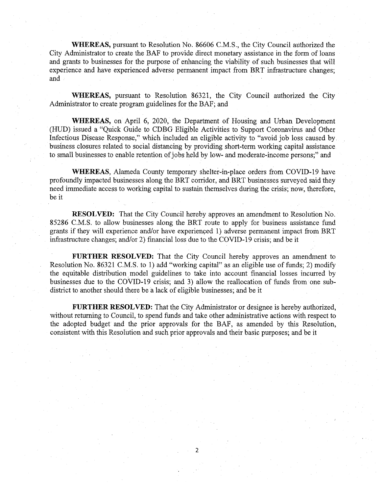**WHEREAS,** pursuant to Resolution No. 86606 C.M.S., the City Council authorized the City Administrator to create the BAF to provide direct monetary assistance in the form of loans and grants to businesses for the purpose of enhancing the viability of such businesses that will experience and have experienced adverse permanent impact from BRT infrastructure changes; and

**WHEREAS,** pursuant to Resolution 86321, the City Council authorized the City Administrator to create program guidelines for the BAF; and

**WHEREAS,** on April 6, 2020, the Department of Housing and Urban Development (HUD) issued a "Quick Guide to CDBG Eligible Activities to Support Coronavirus and Other Infectious Disease Response," which included an eligible activity to "avoid job loss caused by business closures related to social distancing by providing short-term working capital assistance to small businesses to enable retention of jobs held by low- and moderate-income persons;" and

**WHEREAS,** Alameda County temporary shelter-in-place orders from COVID-19 have profoundly impacted businesses along the BRT corridor, and BRT businesses surveyed said they need immediate access to working capital to sustain themselves during the crisis; now, therefore, be it

**RESOLVED:** That the City Council hereby approves an amendment to Resolution No. 85286 C.M.S. to allow businesses along the BRT route to apply for business assistance fund grants if they will experience and/or have experienced 1) adverse permanent impact from BRT infrastructure changes; and/or 2) financial loss due to the COVID-19 crisis; and be it

**FURTHER RESOLVED:** That the City Council hereby approves an amendment to Resolution No. 86321 C.M.S. to 1) add "working capital" as an eligible use of funds; 2) modify the equitable distribution model guidelines to take into account financial losses incurred by businesses due to the COVID-19 crisis; and 3) allow the reallocation of funds from one subdistrict to another should there be a lack of eligible businesses; and be it

**FURTHER RESOLVED:** That the City Administrator or designee is hereby authorized, without returning to Council, to spend funds and take other administrative actions with respect to the adopted budget and the prior approvals for the BAF, as amended by this Resolution, consistent with this Resolution and such prior approvals and their basic purposes; and be it

**2**